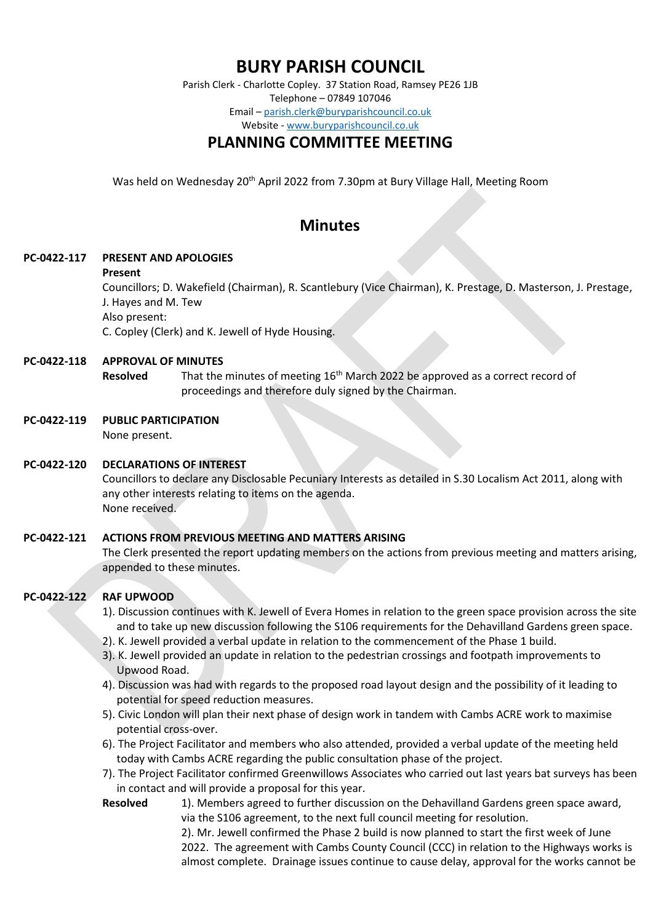# **BURY PARISH COUNCIL**

Parish Clerk - Charlotte Copley. 37 Station Road, Ramsey PE26 1JB Telephone – 07849 107046 Email – [parish.clerk@buryparishcouncil.co.uk](mailto:parish.clerk@buryparishcouncil.co.uk) Website - [www.buryparishcouncil.co.uk](http://www.buryparishcouncil.co.uk/)

## **PLANNING COMMITTEE MEETING**

Was held on Wednesday 20th April 2022 from 7.30pm at Bury Village Hall, Meeting Room

## **Minutes**

#### **PC-0422-117 PRESENT AND APOLOGIES**

#### **Present**

Councillors; D. Wakefield (Chairman), R. Scantlebury (Vice Chairman), K. Prestage, D. Masterson, J. Prestage, J. Hayes and M. Tew

Also present:

C. Copley (Clerk) and K. Jewell of Hyde Housing.

#### **PC-0422-118 APPROVAL OF MINUTES**

**Resolved** That the minutes of meeting 16th March 2022 be approved as a correct record of proceedings and therefore duly signed by the Chairman.

#### **PC-0422-119 PUBLIC PARTICIPATION**

None present.

#### **PC-0422-120 DECLARATIONS OF INTEREST**

Councillors to declare any Disclosable Pecuniary Interests as detailed in S.30 Localism Act 2011, along with any other interests relating to items on the agenda. None received.

#### **PC-0422-121 ACTIONS FROM PREVIOUS MEETING AND MATTERS ARISING**

The Clerk presented the report updating members on the actions from previous meeting and matters arising, appended to these minutes.

## **PC-0422-122 RAF UPWOOD**

- 1). Discussion continues with K. Jewell of Evera Homes in relation to the green space provision across the site and to take up new discussion following the S106 requirements for the Dehavilland Gardens green space.
- 2). K. Jewell provided a verbal update in relation to the commencement of the Phase 1 build.
- 3). K. Jewell provided an update in relation to the pedestrian crossings and footpath improvements to Upwood Road.
- 4). Discussion was had with regards to the proposed road layout design and the possibility of it leading to potential for speed reduction measures.
- 5). Civic London will plan their next phase of design work in tandem with Cambs ACRE work to maximise potential cross-over.
- 6). The Project Facilitator and members who also attended, provided a verbal update of the meeting held today with Cambs ACRE regarding the public consultation phase of the project.
- 7). The Project Facilitator confirmed Greenwillows Associates who carried out last years bat surveys has been in contact and will provide a proposal for this year.
- **Resolved** 1). Members agreed to further discussion on the Dehavilland Gardens green space award, via the S106 agreement, to the next full council meeting for resolution. 2). Mr. Jewell confirmed the Phase 2 build is now planned to start the first week of June

2022. The agreement with Cambs County Council (CCC) in relation to the Highways works is almost complete. Drainage issues continue to cause delay, approval for the works cannot be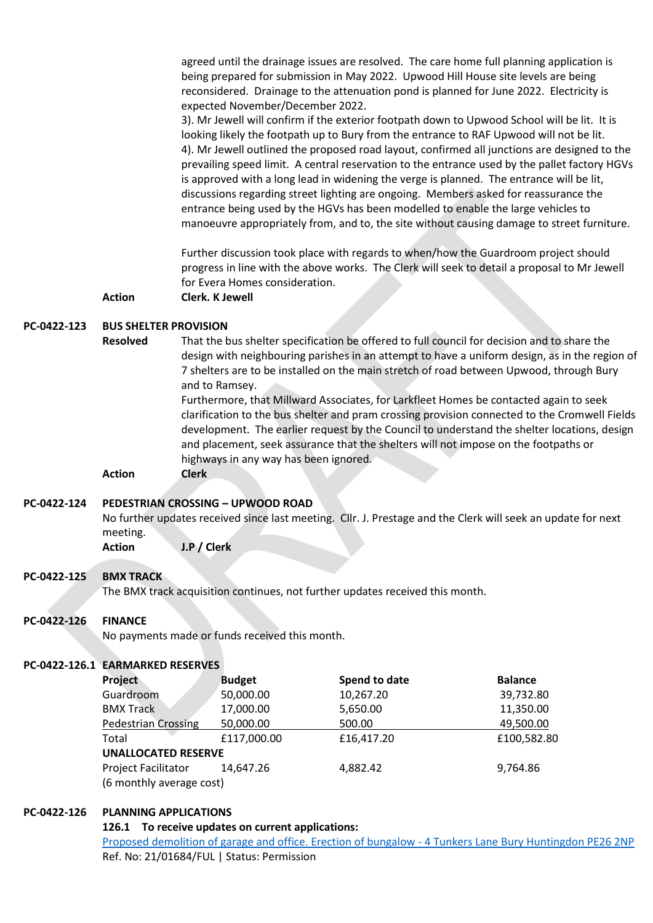agreed until the drainage issues are resolved. The care home full planning application is being prepared for submission in May 2022. Upwood Hill House site levels are being reconsidered. Drainage to the attenuation pond is planned for June 2022. Electricity is expected November/December 2022.

3). Mr Jewell will confirm if the exterior footpath down to Upwood School will be lit. It is looking likely the footpath up to Bury from the entrance to RAF Upwood will not be lit. 4). Mr Jewell outlined the proposed road layout, confirmed all junctions are designed to the prevailing speed limit. A central reservation to the entrance used by the pallet factory HGVs is approved with a long lead in widening the verge is planned. The entrance will be lit, discussions regarding street lighting are ongoing. Members asked for reassurance the entrance being used by the HGVs has been modelled to enable the large vehicles to manoeuvre appropriately from, and to, the site without causing damage to street furniture.

Further discussion took place with regards to when/how the Guardroom project should progress in line with the above works. The Clerk will seek to detail a proposal to Mr Jewell for Evera Homes consideration.

**Action Clerk. K Jewell** 

#### **PC-0422-123 BUS SHELTER PROVISION**

**Resolved** That the bus shelter specification be offered to full council for decision and to share the design with neighbouring parishes in an attempt to have a uniform design, as in the region of 7 shelters are to be installed on the main stretch of road between Upwood, through Bury and to Ramsey.

> Furthermore, that Millward Associates, for Larkfleet Homes be contacted again to seek clarification to the bus shelter and pram crossing provision connected to the Cromwell Fields development. The earlier request by the Council to understand the shelter locations, design and placement, seek assurance that the shelters will not impose on the footpaths or highways in any way has been ignored.

**Action Clerk**

#### **PC-0422-124 PEDESTRIAN CROSSING – UPWOOD ROAD**

No further updates received since last meeting. Cllr. J. Prestage and the Clerk will seek an update for next meeting.

**Action J.P / Clerk** 

#### **PC-0422-125 BMX TRACK**

The BMX track acquisition continues, not further updates received this month.

#### **PC-0422-126 FINANCE**

No payments made or funds received this month.

#### **PC-0422-126.1 EARMARKED RESERVES**

| Project                    | <b>Budget</b> | Spend to date | <b>Balance</b> |
|----------------------------|---------------|---------------|----------------|
| Guardroom                  | 50,000.00     | 10,267.20     | 39,732.80      |
| <b>BMX Track</b>           | 17,000.00     | 5,650.00      | 11,350.00      |
| <b>Pedestrian Crossing</b> | 50,000.00     | 500.00        | 49,500.00      |
| Total                      | £117,000.00   | £16,417.20    | £100,582.80    |
| <b>UNALLOCATED RESERVE</b> |               |               |                |
| <b>Project Facilitator</b> | 14.647.26     | 4,882.42      | 9,764.86       |
| (6 monthly average cost)   |               |               |                |

#### **PC-0422-126 PLANNING APPLICATIONS**

**126.1 To receive updates on current applications:**

[Proposed demolition of garage and office. Erection of bungalow -](https://publicaccess.huntingdonshire.gov.uk/online-applications/centralDistribution.do?caseType=Application&keyVal=QWLBG1IK0JX00) 4 Tunkers Lane Bury Huntingdon PE26 2NP Ref. No: 21/01684/FUL | Status: Permission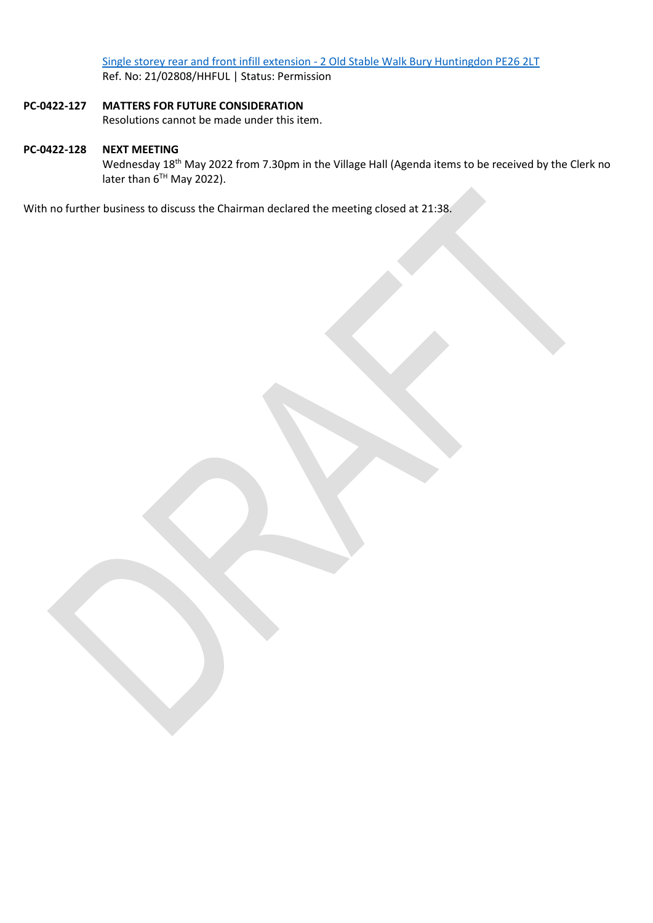Single storey rear and front infill extension - [2 Old Stable Walk Bury Huntingdon PE26 2LT](https://publicaccess.huntingdonshire.gov.uk/online-applications/centralDistribution.do?caseType=Application&keyVal=R44AZPIK0FA00) Ref. No: 21/02808/HHFUL | Status: Permission

## **PC-0422-127 MATTERS FOR FUTURE CONSIDERATION**

Resolutions cannot be made under this item.

## **PC-0422-128 NEXT MEETING**

Wednesday 18<sup>th</sup> May 2022 from 7.30pm in the Village Hall (Agenda items to be received by the Clerk no later than  $6^{TH}$  May 2022).

With no further business to discuss the Chairman declared the meeting closed at 21:38.